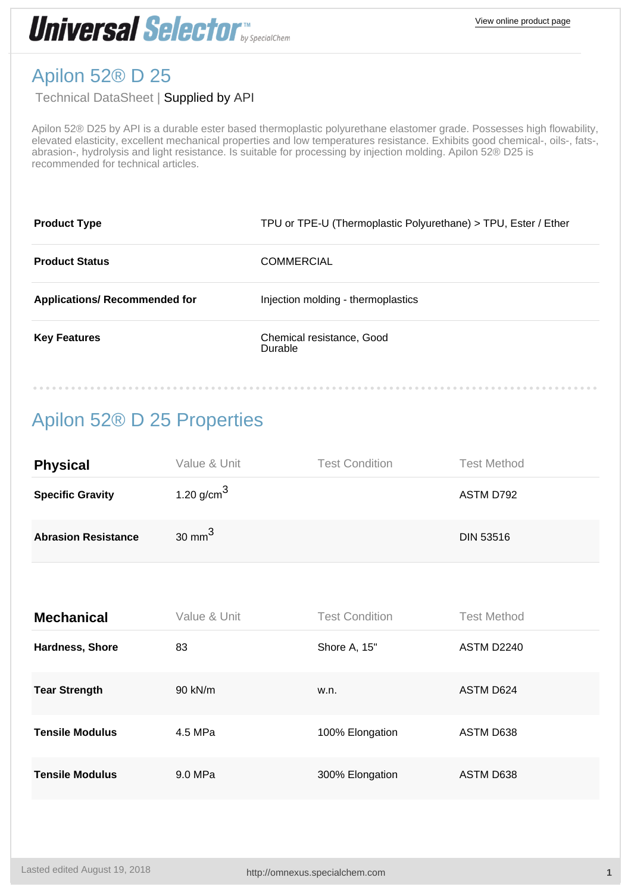

### Apilon 52® D 25

### Technical DataSheet | Supplied by [API](http://omnexus.specialchem.com/selectors/s-api)

Apilon 52® D25 by API is a durable ester based thermoplastic polyurethane elastomer grade. Possesses high flowability, elevated elasticity, excellent mechanical properties and low temperatures resistance. Exhibits good chemical-, oils-, fats-, abrasion-, hydrolysis and light resistance. Is suitable for processing by injection molding. Apilon 52® D25 is recommended for technical articles.

| <b>Product Type</b>                  | TPU or TPE-U (Thermoplastic Polyurethane) > TPU, Ester / Ether |
|--------------------------------------|----------------------------------------------------------------|
| <b>Product Status</b>                | <b>COMMERCIAL</b>                                              |
| <b>Applications/ Recommended for</b> | Injection molding - thermoplastics                             |
| <b>Key Features</b>                  | Chemical resistance, Good<br>Durable                           |

## Apilon 52® D 25 Properties

| <b>Physical</b>            | Value & Unit           | <b>Test Condition</b> | <b>Test Method</b> |
|----------------------------|------------------------|-----------------------|--------------------|
| <b>Specific Gravity</b>    | 1.20 g/cm <sup>3</sup> |                       | ASTM D792          |
| <b>Abrasion Resistance</b> | 30 mm $^3$             |                       | <b>DIN 53516</b>   |

| <b>Mechanical</b>      | Value & Unit | <b>Test Condition</b> | <b>Test Method</b> |
|------------------------|--------------|-----------------------|--------------------|
| Hardness, Shore        | 83           | Shore A, 15"          | ASTM D2240         |
| <b>Tear Strength</b>   | $90$ kN/m    | w.n.                  | ASTM D624          |
| <b>Tensile Modulus</b> | 4.5 MPa      | 100% Elongation       | ASTM D638          |
| <b>Tensile Modulus</b> | 9.0 MPa      | 300% Elongation       | ASTM D638          |